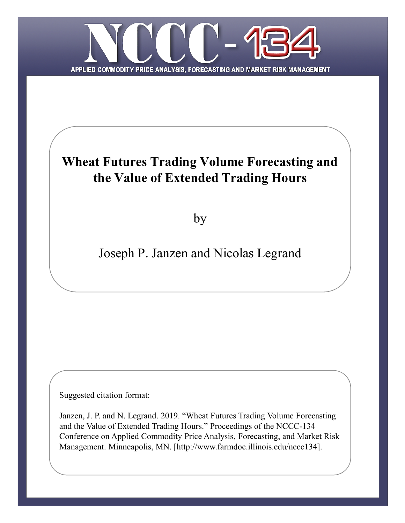

# **Wheat Futures Trading Volume Forecasting and the Value of Extended Trading Hours**

by

# Joseph P. Janzen and Nicolas Legrand

Suggested citation format:

Janzen, J. P. and N. Legrand. 2019. "Wheat Futures Trading Volume Forecasting and the Value of Extended Trading Hours." Proceedings of the NCCC-134 Conference on Applied Commodity Price Analysis, Forecasting, and Market Risk Management. Minneapolis, MN. [http://www.farmdoc.illinois.edu/nccc134].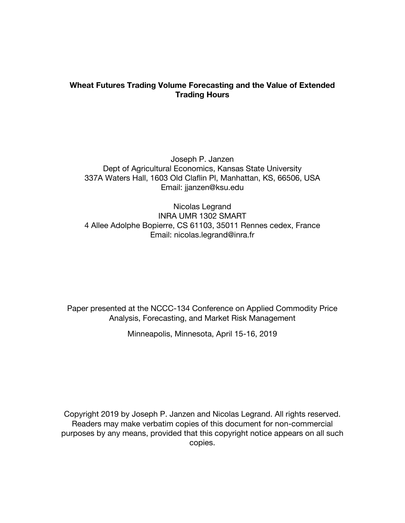## **Wheat Futures Trading Volume Forecasting and the Value of Extended Trading Hours**

Joseph P. Janzen Dept of Agricultural Economics, Kansas State University 337A Waters Hall, 1603 Old Claflin Pl, Manhattan, KS, 66506, USA Email: jjanzen@ksu.edu

Nicolas Legrand INRA UMR 1302 SMART 4 Allee Adolphe Bopierre, CS 61103, 35011 Rennes cedex, France Email: nicolas.legrand@inra.fr

Paper presented at the NCCC-134 Conference on Applied Commodity Price Analysis, Forecasting, and Market Risk Management

Minneapolis, Minnesota, April 15-16, 2019

Copyright 2019 by Joseph P. Janzen and Nicolas Legrand. All rights reserved. Readers may make verbatim copies of this document for non-commercial purposes by any means, provided that this copyright notice appears on all such copies.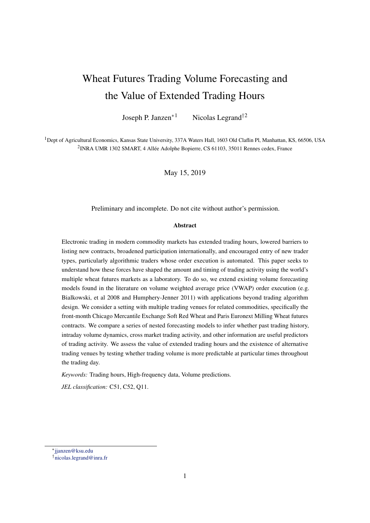# Wheat Futures Trading Volume Forecasting and the Value of Extended Trading Hours

Joseph P. Janzen<sup>\*1</sup> Nicolas Legrand<sup>†2</sup>

1Dept of Agricultural Economics, Kansas State University, 337A Waters Hall, 1603 Old Claflin Pl, Manhattan, KS, 66506, USA 2INRA UMR 1302 SMART, 4 Allée Adolphe Bopierre, CS 61103, 35011 Rennes cedex, France

May 15, 2019

Preliminary and incomplete. Do not cite without author's permission.

#### Abstract

Electronic trading in modern commodity markets has extended trading hours, lowered barriers to listing new contracts, broadened participation internationally, and encouraged entry of new trader types, particularly algorithmic traders whose order execution is automated. This paper seeks to understand how these forces have shaped the amount and timing of trading activity using the world's multiple wheat futures markets as a laboratory. To do so, we extend existing volume forecasting models found in the literature on volume weighted average price (VWAP) order execution (e.g. Bialkowski, et al 2008 and Humphery-Jenner 2011) with applications beyond trading algorithm design. We consider a setting with multiple trading venues for related commodities, specifically the front-month Chicago Mercantile Exchange Soft Red Wheat and Paris Euronext Milling Wheat futures contracts. We compare a series of nested forecasting models to infer whether past trading history, intraday volume dynamics, cross market trading activity, and other information are useful predictors of trading activity. We assess the value of extended trading hours and the existence of alternative trading venues by testing whether trading volume is more predictable at particular times throughout the trading day.

*Keywords:* Trading hours, High-frequency data, Volume predictions.

*JEL classification:* C51, C52, Q11.

<sup>⇤</sup>[jjanzen@ksu.edu](mailto:jjanzen@ksu.edu)

*<sup>†</sup>*[nicolas.legrand@inra.fr](mailto:nicolas.legrand@inra.fr)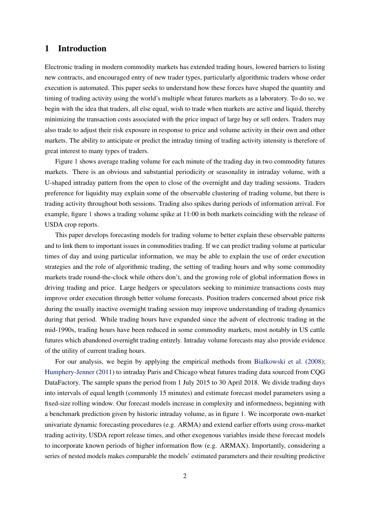## 1 Introduction

Electronic trading in modern commodity markets has extended trading hours, lowered barriers to listing new contracts, and encouraged entry of new trader types, particularly algorithmic traders whose order execution is automated. This paper seeks to understand how these forces have shaped the quantity and timing of trading activity using the world's multiple wheat futures markets as a laboratory. To do so, we begin with the idea that traders, all else equal, wish to trade when markets are active and liquid, thereby minimizing the transaction costs associated with the price impact of large buy or sell orders. Traders may also trade to adjust their risk exposure in response to price and volume activity in their own and other markets. The ability to anticipate or predict the intraday timing of trading activity intensity is therefore of great interest to many types of traders.

Figure [1](#page-5-0) shows average trading volume for each minute of the trading day in two commodity futures markets. There is an obvious and substantial periodicity or seasonality in intraday volume, with a U-shaped intraday pattern from the open to close of the overnight and day trading sessions. Traders preference for liquidity may explain some of the observable clustering of trading volume, but there is trading activity throughout both sessions. Trading also spikes during periods of information arrival. For example, figure [1](#page-5-0) shows a trading volume spike at 11:00 in both markets coinciding with the release of USDA crop reports.

This paper develops forecasting models for trading volume to better explain these observable patterns and to link them to important issues in commodities trading. If we can predict trading volume at particular times of day and using particular information, we may be able to explain the use of order execution strategies and the role of algorithmic trading, the setting of trading hours and why some commodity markets trade round-the-clock while others don't, and the growing role of global information flows in driving trading and price. Large hedgers or speculators seeking to minimize transactions costs may improve order execution through better volume forecasts. Position traders concerned about price risk during the usually inactive overnight trading session may improve understanding of trading dynamics during that period. While trading hours have expanded since the advent of electronic trading in the mid-1990s, trading hours have been reduced in some commodity markets, most notably in US cattle futures which abandoned overnight trading entirely. Intraday volume forecasts may also provide evidence of the utility of current trading hours.

For our analysis, we begin by applying the empirical methods from [Bialkowski et al.](#page-12-0) [\(2008\)](#page-12-0); [Humphery-Jenner](#page-14-0) [\(2011\)](#page-14-0) to intraday Paris and Chicago wheat futures trading data sourced from CQG DataFactory. The sample spans the period from 1 July 2015 to 30 April 2018. We divide trading days into intervals of equal length (commonly 15 minutes) and estimate forecast model parameters using a fixed-size rolling window. Our forecast models increase in complexity and informedness, beginning with a benchmark prediction given by historic intraday volume, as in figure [1.](#page-5-0) We incorporate own-market univariate dynamic forecasting procedures (e.g. ARMA) and extend earlier efforts using cross-market trading activity, USDA report release times, and other exogenous variables inside these forecast models to incorporate known periods of higher information flow (e.g. ARMAX). Importantly, considering a series of nested models makes comparable the models' estimated parameters and their resulting predictive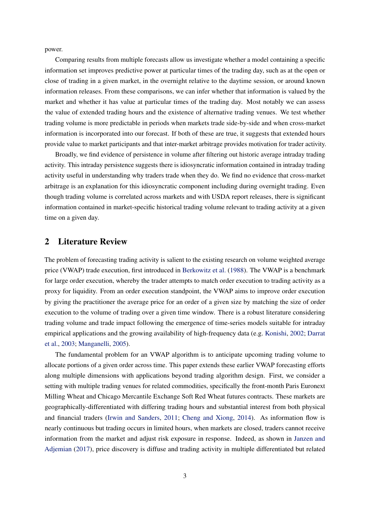power.

Comparing results from multiple forecasts allow us investigate whether a model containing a specific information set improves predictive power at particular times of the trading day, such as at the open or close of trading in a given market, in the overnight relative to the daytime session, or around known information releases. From these comparisons, we can infer whether that information is valued by the market and whether it has value at particular times of the trading day. Most notably we can assess the value of extended trading hours and the existence of alternative trading venues. We test whether trading volume is more predictable in periods when markets trade side-by-side and when cross-market information is incorporated into our forecast. If both of these are true, it suggests that extended hours provide value to market participants and that inter-market arbitrage provides motivation for trader activity.

Broadly, we find evidence of persistence in volume after filtering out historic average intraday trading activity. This intraday persistence suggests there is idiosyncratic information contained in intraday trading activity useful in understanding why traders trade when they do. We find no evidence that cross-market arbitrage is an explanation for this idiosyncratic component including during overnight trading. Even though trading volume is correlated across markets and with USDA report releases, there is significant information contained in market-specific historical trading volume relevant to trading activity at a given time on a given day.

## 2 Literature Review

The problem of forecasting trading activity is salient to the existing research on volume weighted average price (VWAP) trade execution, first introduced in [Berkowitz et al.](#page-12-1) [\(1988\)](#page-12-1). The VWAP is a benchmark for large order execution, whereby the trader attempts to match order execution to trading activity as a proxy for liquidity. From an order execution standpoint, the VWAP aims to improve order execution by giving the practitioner the average price for an order of a given size by matching the size of order execution to the volume of trading over a given time window. There is a robust literature considering trading volume and trade impact following the emergence of time-series models suitable for intraday empirical applications and the growing availability of high-frequency data (e.g. [Konishi,](#page-14-1) [2002;](#page-14-1) [Darrat](#page-14-2) [et al.,](#page-14-2) [2003;](#page-14-2) [Manganelli,](#page-14-3) [2005\)](#page-14-3).

The fundamental problem for an VWAP algorithm is to anticipate upcoming trading volume to allocate portions of a given order across time. This paper extends these earlier VWAP forecasting efforts along multiple dimensions with applications beyond trading algorithm design. First, we consider a setting with multiple trading venues for related commodities, specifically the front-month Paris Euronext Milling Wheat and Chicago Mercantile Exchange Soft Red Wheat futures contracts. These markets are geographically-differentiated with differing trading hours and substantial interest from both physical and financial traders [\(Irwin and Sanders,](#page-14-4) [2011;](#page-14-4) [Cheng and Xiong,](#page-14-5) [2014\)](#page-14-5). As information flow is nearly continuous but trading occurs in limited hours, when markets are closed, traders cannot receive information from the market and adjust risk exposure in response. Indeed, as shown in [Janzen and](#page-14-6) [Adjemian](#page-14-6) [\(2017\)](#page-14-6), price discovery is diffuse and trading activity in multiple differentiated but related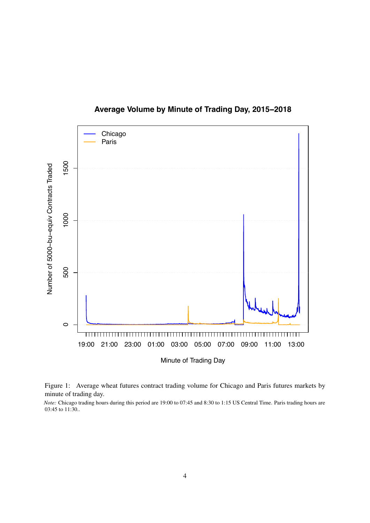

**Average Volume by Minute of Trading Day, 2015−2018**

<span id="page-5-0"></span>Figure 1: Average wheat futures contract trading volume for Chicago and Paris futures markets by minute of trading day.

*Note:* Chicago trading hours during this period are 19:00 to 07:45 and 8:30 to 1:15 US Central Time. Paris trading hours are 03:45 to 11:30..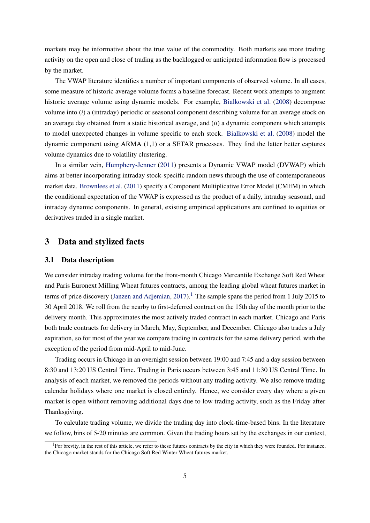markets may be informative about the true value of the commodity. Both markets see more trading activity on the open and close of trading as the backlogged or anticipated information flow is processed by the market.

The VWAP literature identifies a number of important components of observed volume. In all cases, some measure of historic average volume forms a baseline forecast. Recent work attempts to augment historic average volume using dynamic models. For example, [Bialkowski et al.](#page-12-0) [\(2008\)](#page-12-0) decompose volume into (*i*) a (intraday) periodic or seasonal component describing volume for an average stock on an average day obtained from a static historical average, and (*ii*) a dynamic component which attempts to model unexpected changes in volume specific to each stock. [Bialkowski et al.](#page-12-0) [\(2008\)](#page-12-0) model the dynamic component using ARMA (1,1) or a SETAR processes. They find the latter better captures volume dynamics due to volatility clustering.

In a similar vein, [Humphery-Jenner](#page-14-0) [\(2011\)](#page-14-0) presents a Dynamic VWAP model (DVWAP) which aims at better incorporating intraday stock-specific random news through the use of contemporaneous market data. [Brownlees et al.](#page-14-7) [\(2011\)](#page-14-7) specify a Component Multiplicative Error Model (CMEM) in which the conditional expectation of the VWAP is expressed as the product of a daily, intraday seasonal, and intraday dynamic components. In general, existing empirical applications are confined to equities or derivatives traded in a single market.

### 3 Data and stylized facts

#### 3.1 Data description

We consider intraday trading volume for the front-month Chicago Mercantile Exchange Soft Red Wheat and Paris Euronext Milling Wheat futures contracts, among the leading global wheat futures market in terms of price discovery [\(Janzen and Adjemian,](#page-14-6) [2017\)](#page-14-6).<sup>1</sup> The sample spans the period from 1 July 2015 to 30 April 2018. We roll from the nearby to first-deferred contract on the 15th day of the month prior to the delivery month. This approximates the most actively traded contract in each market. Chicago and Paris both trade contracts for delivery in March, May, September, and December. Chicago also trades a July expiration, so for most of the year we compare trading in contracts for the same delivery period, with the exception of the period from mid-April to mid-June.

Trading occurs in Chicago in an overnight session between 19:00 and 7:45 and a day session between 8:30 and 13:20 US Central Time. Trading in Paris occurs between 3:45 and 11:30 US Central Time. In analysis of each market, we removed the periods without any trading activity. We also remove trading calendar holidays where one market is closed entirely. Hence, we consider every day where a given market is open without removing additional days due to low trading activity, such as the Friday after Thanksgiving.

To calculate trading volume, we divide the trading day into clock-time-based bins. In the literature we follow, bins of 5-20 minutes are common. Given the trading hours set by the exchanges in our context,

<span id="page-6-0"></span> ${}^{1}$ For brevity, in the rest of this article, we refer to these futures contracts by the city in which they were founded. For instance, the Chicago market stands for the Chicago Soft Red Winter Wheat futures market.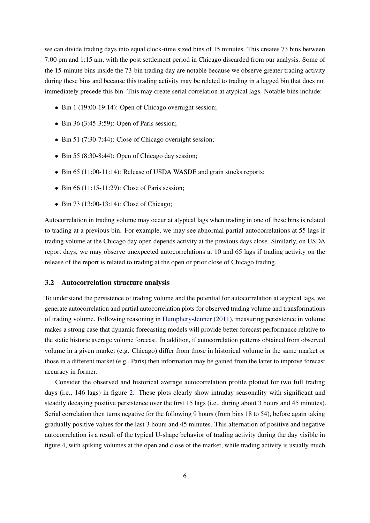we can divide trading days into equal clock-time sized bins of 15 minutes. This creates 73 bins between 7:00 pm and 1:15 am, with the post settlement period in Chicago discarded from our analysis. Some of the 15-minute bins inside the 73-bin trading day are notable because we observe greater trading activity during these bins and because this trading activity may be related to trading in a lagged bin that does not immediately precede this bin. This may create serial correlation at atypical lags. Notable bins include:

- *•* Bin 1 (19:00-19:14): Open of Chicago overnight session;
- *•* Bin 36 (3:45-3:59): Open of Paris session;
- *•* Bin 51 (7:30-7:44): Close of Chicago overnight session;
- *•* Bin 55 (8:30-8:44): Open of Chicago day session;
- Bin 65 (11:00-11:14): Release of USDA WASDE and grain stocks reports;
- Bin 66 (11:15-11:29): Close of Paris session:
- *•* Bin 73 (13:00-13:14): Close of Chicago;

Autocorrelation in trading volume may occur at atypical lags when trading in one of these bins is related to trading at a previous bin. For example, we may see abnormal partial autocorrelations at 55 lags if trading volume at the Chicago day open depends activity at the previous days close. Similarly, on USDA report days, we may observe unexpected autocorrelations at 10 and 65 lags if trading activity on the release of the report is related to trading at the open or prior close of Chicago trading.

#### 3.2 Autocorrelation structure analysis

To understand the persistence of trading volume and the potential for autocorrelation at atypical lags, we generate autocorrelation and partial autocorrelation plots for observed trading volume and transformations of trading volume. Following reasoning in [Humphery-Jenner](#page-14-0) [\(2011\)](#page-14-0), measuring persistence in volume makes a strong case that dynamic forecasting models will provide better forecast performance relative to the static historic average volume forecast. In addition, if autocorrelation patterns obtained from observed volume in a given market (e.g. Chicago) differ from those in historical volume in the same market or those in a different market (e.g., Paris) then information may be gained from the latter to improve forecast accuracy in former.

Consider the observed and historical average autocorrelation profile plotted for two full trading days (i.e., 146 lags) in figure [2.](#page-8-0) These plots clearly show intraday seasonality with significant and steadily decaying positive persistence over the first 15 lags (i.e., during about 3 hours and 45 minutes). Serial correlation then turns negative for the following 9 hours (from bins 18 to 54), before again taking gradually positive values for the last 3 hours and 45 minutes. This alternation of positive and negative autocorrelation is a result of the typical U-shape behavior of trading activity during the day visible in figure [4,](#page-11-0) with spiking volumes at the open and close of the market, while trading activity is usually much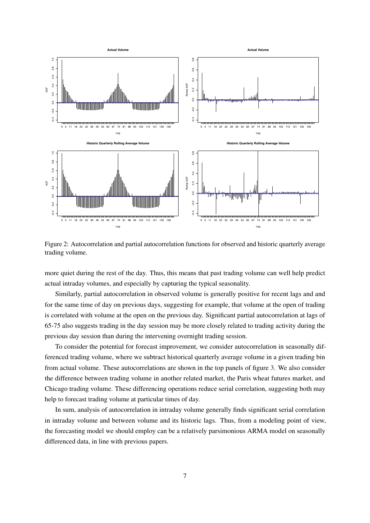

<span id="page-8-0"></span>Figure 2: Autocorrelation and partial autocorrelation functions for observed and historic quarterly average trading volume.

more quiet during the rest of the day. Thus, this means that past trading volume can well help predict actual intraday volumes, and especially by capturing the typical seasonality.

Similarly, partial autocorrelation in observed volume is generally positive for recent lags and and for the same time of day on previous days, suggesting for example, that volume at the open of trading is correlated with volume at the open on the previous day. Significant partial autocorrelation at lags of 65-75 also suggests trading in the day session may be more closely related to trading activity during the previous day session than during the intervening overnight trading session.

To consider the potential for forecast improvement, we consider autocorrelation in seasonally differenced trading volume, where we subtract historical quarterly average volume in a given trading bin from actual volume. These autocorrelations are shown in the top panels of figure [3.](#page-9-0) We also consider the difference between trading volume in another related market, the Paris wheat futures market, and Chicago trading volume. These differencing operations reduce serial correlation, suggesting both may help to forecast trading volume at particular times of day.

In sum, analysis of autocorrelation in intraday volume generally finds significant serial correlation in intraday volume and between volume and its historic lags. Thus, from a modeling point of view, the forecasting model we should employ can be a relatively parsimonious ARMA model on seasonally differenced data, in line with previous papers.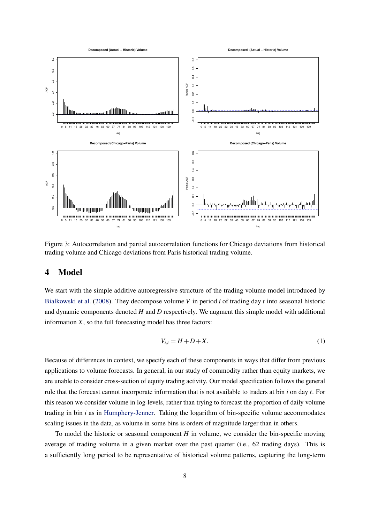

<span id="page-9-0"></span>Figure 3: Autocorrelation and partial autocorrelation functions for Chicago deviations from historical trading volume and Chicago deviations from Paris historical trading volume.

## 4 Model

We start with the simple additive autoregressive structure of the trading volume model introduced by [Bialkowski et al.](#page-12-0) [\(2008\)](#page-12-0). They decompose volume *V* in period *i* of trading day *t* into seasonal historic and dynamic components denoted *H* and *D* respectively. We augment this simple model with additional information *X*, so the full forecasting model has three factors:

<span id="page-9-1"></span>
$$
V_{i,t} = H + D + X.\t\t(1)
$$

Because of differences in context, we specify each of these components in ways that differ from previous applications to volume forecasts. In general, in our study of commodity rather than equity markets, we are unable to consider cross-section of equity trading activity. Our model specification follows the general rule that the forecast cannot incorporate information that is not available to traders at bin *i* on day *t*. For this reason we consider volume in log-levels, rather than trying to forecast the proportion of daily volume trading in bin *i* as in [Humphery-Jenner.](#page-14-0) Taking the logarithm of bin-specific volume accommodates scaling issues in the data, as volume in some bins is orders of magnitude larger than in others.

To model the historic or seasonal component *H* in volume, we consider the bin-specific moving average of trading volume in a given market over the past quarter (i.e., 62 trading days). This is a sufficiently long period to be representative of historical volume patterns, capturing the long-term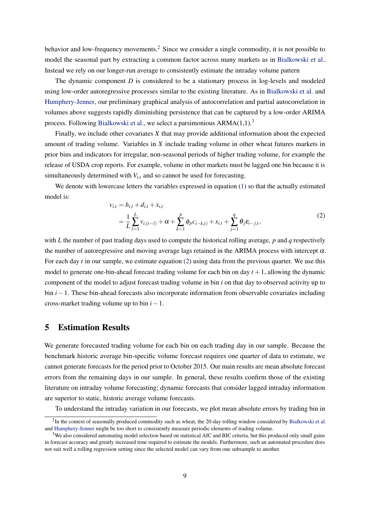behavior and low-frequency movements.<sup>[2](#page-10-0)</sup> Since we consider a single commodity, it is not possible to model the seasonal part by extracting a common factor across many markets as in [Bialkowski et al..](#page-12-0) Instead we rely on our longer-run average to consistently estimate the intraday volume pattern

The dynamic component *D* is considered to be a stationary process in log-levels and modeled using low-order autoregressive processes similar to the existing literature. As in [Bialkowski et al.](#page-12-0) and [Humphery-Jenner,](#page-14-0) our preliminary graphical analysis of autocorrelation and partial autocorrelation in volumes above suggests rapidly diminishing persistence that can be captured by a low-order ARIMA process. Following [Bialkowski et al.,](#page-12-0) we select a parsimonious  $ARMA(1,1).$ <sup>3</sup>

Finally, we include other covariates *X* that may provide additional information about the expected amount of trading volume. Variables in *X* include trading volume in other wheat futures markets in prior bins and indicators for irregular, non-seasonal periods of higher trading volume, for example the release of USDA crop reports. For example, volume in other markets must be lagged one bin because it is simultaneously determined with  $V_{i,t}$  and so cannot be used for forecasting.

<span id="page-10-2"></span>We denote with lowercase letters the variables expressed in equation [\(1\)](#page-9-1) so that the actually estimated model is:

$$
v_{i,t} = h_{i,t} + d_{i,t} + x_{i,t}
$$
  
=  $\frac{1}{L} \sum_{l=1}^{L} v_{i,(t-l)} + \alpha + \sum_{k=1}^{p} \phi_p c_{i-k,t} + x_{i,t} + \sum_{j=1}^{q} \theta_j \varepsilon_{i-j,t},$  (2)

with *L* the number of past trading days used to compute the historical rolling average, *p* and *q* respectively the number of autoregressive and moving average lags retained in the ARIMA process with intercept  $\alpha$ . For each day *t* in our sample, we estimate equation [\(2\)](#page-10-2) using data from the previous quarter. We use this model to generate one-bin-ahead forecast trading volume for each bin on day  $t + 1$ , allowing the dynamic component of the model to adjust forecast trading volume in bin *i* on that day to observed activity up to bin  $i-1$ . These bin-ahead forecasts also incorporate information from observable covariates including cross-market trading volume up to bin  $i-1$ .

### 5 Estimation Results

We generate forecasted trading volume for each bin on each trading day in our sample. Because the benchmark historic average bin-specific volume forecast requires one quarter of data to estimate, we cannot generate forecasts for the period prior to October 2015. Our main results are mean absolute forecast errors from the remaining days in our sample. In general, these results confirm those of the existing literature on intraday volume forecasting; dynamic forecasts that consider lagged intraday information are superior to static, historic average volume forecasts.

To understand the intraday variation in our forecasts, we plot mean absolute errors by trading bin in

<span id="page-10-0"></span> $2$ In the context of seasonally produced commodity such as wheat, the 20-day rolling window considered by [Bialkowski et al.](#page-12-0) and [Humphery-Jenner](#page-14-0) might be too short to consistently measure periodic elements of trading volume.

<span id="page-10-1"></span><sup>&</sup>lt;sup>3</sup>We also considered automating model selection based on statistical AIC and BIC criteria, but this produced only small gains in forecast accuracy and greatly increased time required to estimate the models. Furthermore, such an automated procedure does not suit well a rolling regression setting since the selected model can vary from one subsample to another.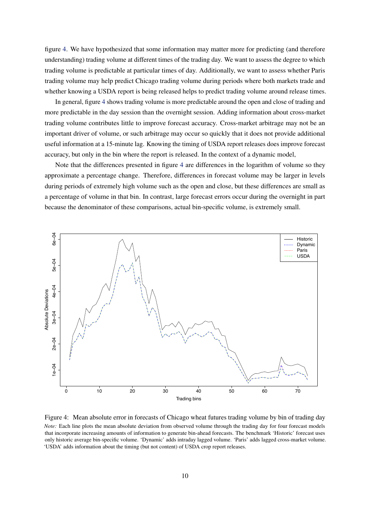figure [4.](#page-11-0) We have hypothesized that some information may matter more for predicting (and therefore understanding) trading volume at different times of the trading day. We want to assess the degree to which trading volume is predictable at particular times of day. Additionally, we want to assess whether Paris trading volume may help predict Chicago trading volume during periods where both markets trade and whether knowing a USDA report is being released helps to predict trading volume around release times.

In general, figure [4](#page-11-0) shows trading volume is more predictable around the open and close of trading and more predictable in the day session than the overnight session. Adding information about cross-market trading volume contributes little to improve forecast accuracy. Cross-market arbitrage may not be an important driver of volume, or such arbitrage may occur so quickly that it does not provide additional useful information at a 15-minute lag. Knowing the timing of USDA report releases does improve forecast accuracy, but only in the bin where the report is released. In the context of a dynamic model,

Note that the differences presented in figure [4](#page-11-0) are differences in the logarithm of volume so they approximate a percentage change. Therefore, differences in forecast volume may be larger in levels during periods of extremely high volume such as the open and close, but these differences are small as a percentage of volume in that bin. In contrast, large forecast errors occur during the overnight in part because the denominator of these comparisons, actual bin-specific volume, is extremely small.



<span id="page-11-0"></span>Figure 4: Mean absolute error in forecasts of Chicago wheat futures trading volume by bin of trading day *Note:* Each line plots the mean absolute deviation from observed volume through the trading day for four forecast models that incorporate increasing amounts of information to generate bin-ahead forecasts. The benchmark 'Historic' forecast uses only historic average bin-specific volume. 'Dynamic' adds intraday lagged volume. 'Paris' adds lagged cross-market volume. 'USDA' adds information about the timing (but not content) of USDA crop report releases.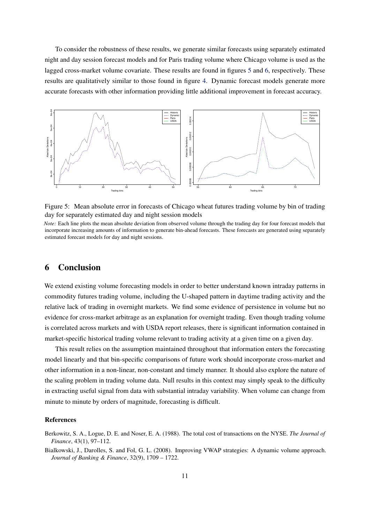To consider the robustness of these results, we generate similar forecasts using separately estimated night and day session forecast models and for Paris trading volume where Chicago volume is used as the lagged cross-market volume covariate. These results are found in figures [5](#page-12-2) and [6,](#page-13-0) respectively. These results are qualitatively similar to those found in figure [4.](#page-11-0) Dynamic forecast models generate more accurate forecasts with other information providing little additional improvement in forecast accuracy.



<span id="page-12-2"></span>Figure 5: Mean absolute error in forecasts of Chicago wheat futures trading volume by bin of trading day for separately estimated day and night session models

*Note:* Each line plots the mean absolute deviation from observed volume through the trading day for four forecast models that incorporate increasing amounts of information to generate bin-ahead forecasts. These forecasts are generated using separately estimated forecast models for day and night sessions.

### 6 Conclusion

We extend existing volume forecasting models in order to better understand known intraday patterns in commodity futures trading volume, including the U-shaped pattern in daytime trading activity and the relative lack of trading in overnight markets. We find some evidence of persistence in volume but no evidence for cross-market arbitrage as an explanation for overnight trading. Even though trading volume is correlated across markets and with USDA report releases, there is significant information contained in market-specific historical trading volume relevant to trading activity at a given time on a given day.

This result relies on the assumption maintained throughout that information enters the forecasting model linearly and that bin-specific comparisons of future work should incorporate cross-market and other information in a non-linear, non-constant and timely manner. It should also explore the nature of the scaling problem in trading volume data. Null results in this context may simply speak to the difficulty in extracting useful signal from data with substantial intraday variability. When volume can change from minute to minute by orders of magnitude, forecasting is difficult.

#### References

- <span id="page-12-1"></span>Berkowitz, S. A., Logue, D. E. and Noser, E. A. (1988). The total cost of transactions on the NYSE. *The Journal of Finance*, 43(1), 97–112.
- <span id="page-12-0"></span>Bialkowski, J., Darolles, S. and Fol, G. L. (2008). Improving VWAP strategies: A dynamic volume approach. *Journal of Banking & Finance*, 32(9), 1709 – 1722.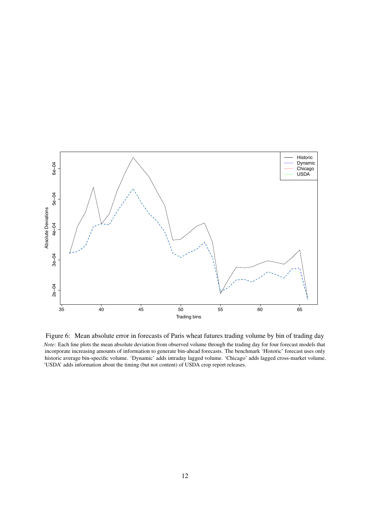

<span id="page-13-0"></span>Figure 6: Mean absolute error in forecasts of Paris wheat futures trading volume by bin of trading day *Note:* Each line plots the mean absolute deviation from observed volume through the trading day for four forecast models that incorporate increasing amounts of information to generate bin-ahead forecasts. The benchmark 'Historic' forecast uses only historic average bin-specific volume. 'Dynamic' adds intraday lagged volume. 'Chicago' adds lagged cross-market volume. 'USDA' adds information about the timing (but not content) of USDA crop report releases.